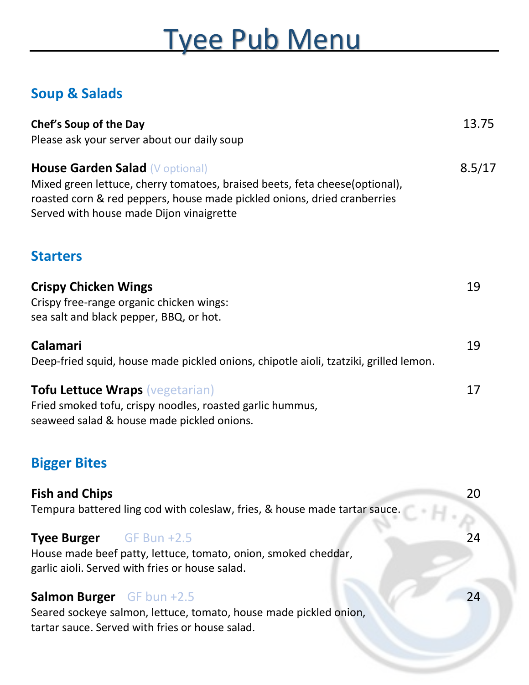## Tyee Pub Menu

## **Soup & Salads**

| Chef's Soup of the Day<br>Please ask your server about our daily soup                                                                                                                                                                         | 13.75  |
|-----------------------------------------------------------------------------------------------------------------------------------------------------------------------------------------------------------------------------------------------|--------|
| <b>House Garden Salad (V optional)</b><br>Mixed green lettuce, cherry tomatoes, braised beets, feta cheese(optional),<br>roasted corn & red peppers, house made pickled onions, dried cranberries<br>Served with house made Dijon vinaigrette | 8.5/17 |
| <b>Starters</b>                                                                                                                                                                                                                               |        |
| <b>Crispy Chicken Wings</b><br>Crispy free-range organic chicken wings:<br>sea salt and black pepper, BBQ, or hot.                                                                                                                            | 19     |
| Calamari<br>Deep-fried squid, house made pickled onions, chipotle aioli, tzatziki, grilled lemon.                                                                                                                                             | 19     |
| <b>Tofu Lettuce Wraps (vegetarian)</b><br>Fried smoked tofu, crispy noodles, roasted garlic hummus,<br>seaweed salad & house made pickled onions.                                                                                             | 17     |
| <b>Bigger Bites</b>                                                                                                                                                                                                                           |        |
| <b>Fish and Chips</b><br>Tempura battered ling cod with coleslaw, fries, & house made tartar sauce.                                                                                                                                           | 20     |
| Tyee Burger GF Bun +2.5<br>House made beef patty, lettuce, tomato, onion, smoked cheddar,<br>garlic aioli. Served with fries or house salad.                                                                                                  | 24     |
| <b>Salmon Burger</b> GF bun +2.5<br>Seared sockeye salmon, lettuce, tomato, house made pickled onion,<br>tartar sauce. Served with fries or house salad.                                                                                      | 24     |